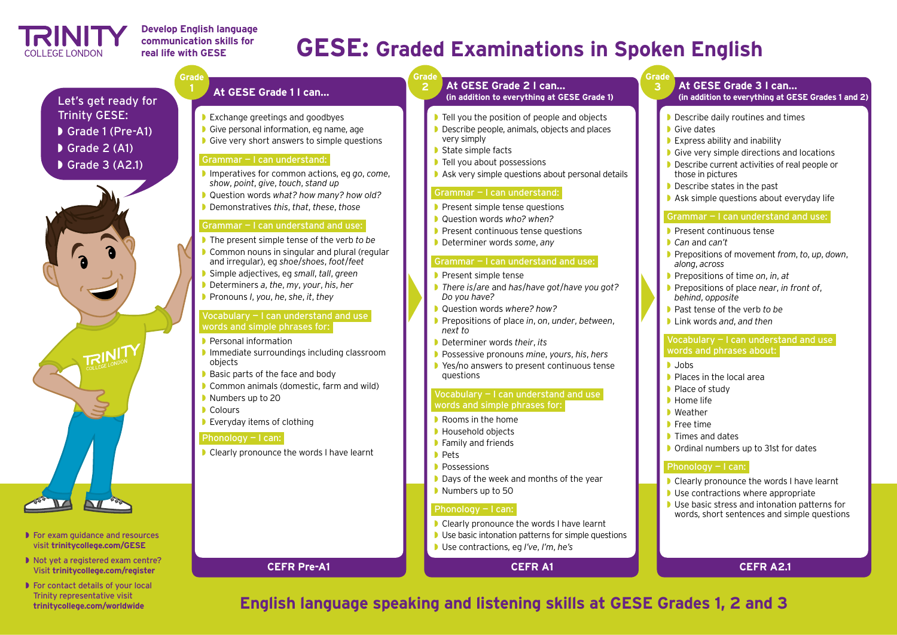# **GESE: Graded Examinations in Spoken English**

# **English language speaking and listening skills at GESE Grades 1, 2 and 3**

# **Grade**

**2**

- ◗ Tell you the position of people and objects ◗ Describe people, animals, objects and places
- very simply
- ◗ State simple facts
- ◗ Tell you about possessions
- 

# Grammar — I can understand:

- 
- 
- 
- 

- ◗ Ask very simple questions about personal details
- **▶ Present simple tense questions**
- ◗ Question words *who? when?*
- ◗ Present continuous tense questions
- ◗ Determiner words *some*, *any*

- **▶ Present simple tense** ◗ *There is*/*are* and *has*/*have got*/*have you got? Do you have?*
- ◗ Question words *where? how?*
- *next to*
- 
- ◗ Possessive pronouns *mine*, *yours*, *his*, *hers* ◗ Yes/no answers to present continuous tense questions
- 

# Vocabulary - I can understand and use words and simple phrases for:

- **▶ Rooms in the home**
- ◗ Household objects
- **▶ Family and friends** 
	- ◗ Pets
- ◗ Possessions
- 
- 

# ◗ Days of the week and months of the year ■ Numbers up to 50

# Phonology - I can:

# Grammar — I can understand and use:

- 
- 
- Clearly pronounce the words I have learnt **■ Use basic intonation patterns for simple questions** ◗ Use contractions, eg *I've*, *I'm*, *he's*

◗ Prepositions of place *in*, *on*, *under*, *between*,

- ◗ Express ability and inability
- Give very simple directions and locations
- ◗ Describe current activities of real people or those in pictures
- Describe states in the past
- Ask simple questions about everyday life

# ◗ Determiner words *their*, *its*

# Vocabulary - I can understand and use words and phrases about:

- Clearly pronounce the words I have learnt
- **Use contractions where appropriate**
- Use basic stress and intonation patterns for words, short sentences and simple questions

# **At GESE Grade 2 I can… (in addition to everything at GESE Grade 1)**

# **CEFR A1**

**Grade 3**

- ◗ Grade 1 (Pre-A1)
- Grade 2 (A1)
- Grade 3 (A2.1)



# Grammar — I can understand and use:

### Vocabulary - I can understand and use words and simple phrases for:

- ◗ Present continuous tense
- ◗ *Can* and *can't*
- ◗ Prepositions of movement *from*, *to*, *up*, *down*, *along*, *across*
- ◗ Prepositions of time *on*, *in*, *at*
- ◗ Prepositions of place *near*, *in front of*, *behind*, *opposite*
- ◗ Past tense of the verb *to be*
- ◗ Link words *and*, *and then*

- ◗ Jobs
- Places in the local area
- ◗ Place of study
- ◗ Home life
- Weather
- ◗ Free time
- **D** Times and dates
- ◗ Ordinal numbers up to 31st for dates

# Phonology - I can:

# **At GESE Grade 3 I can…**

**(in addition to everything at GESE Grades 1 and 2)**

- Describe daily routines and times
- **■** Give dates

# **CEFR A2.1**

- ◗ For exam guidance and resources visit **trinitycollege.com/GESE**
- ◗ Not yet a registered exam centre? Visit **trinitycollege.com/register**
- For contact details of your local Trinity representative visit **trinitycollege.com/worldwide**

Let's get ready for Trinity GESE:

- ◗ Exchange greetings and goodbyes
- ◗ Give personal information, eg name, age
- ◗ Give very short answers to simple questions

## Grammar — I can understand:

- ◗ Imperatives for common actions, eg *go*, *come*, *show*, *point*, *give*, *touch*, *stand up*
- ◗ Question words *what? how many? how old?*
- ◗ Demonstratives *this*, *that*, *these*, *those*

### Grammar — I can understand and use:

- ◗ The present simple tense of the verb *to be*
- **Common nouns in singular and plural (regular** and irregular), eg *shoe*/*shoes*, *foot*/*feet*
- ◗ Simple adjectives, eg *small*, *tall*, *green*
- ◗ Determiners *a*, *the*, *my*, *your*, *his*, *her*
- **LEXIS OK HERE?** ◗ Pronouns *I*, *you*, *he*, *she*, *it*, *they*

- ◗ Personal information
- ◗ Immediate surroundings including classroom objects
- ◗ Basic parts of the face and body
- ◗ Common animals (domestic, farm and wild)
- Numbers up to 20
- Colours
- ◗ Everyday items of clothing

# Phonology — I can:

■ Clearly pronounce the words I have learnt

# **At GESE Grade 1 I can…**

# **CEFR Pre-A1**

**Grade**

**1**



# **Develop English language communication skills for real life with GESE**